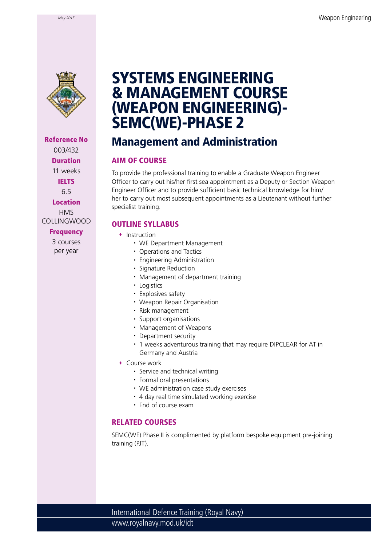

Reference No 003/432 Duration 11 weeks IELTS 6.5 Location HMS COLLINGWOOD **Frequency** 

> 3 courses per year

# SYSTEMS ENGINEERING & MANAGEMENT COURSE (WEAPON ENGINEERING)- SEMC(WE)-PHASE 2

## Management and Administration

### AIM OF COURSE

To provide the professional training to enable a Graduate Weapon Engineer Officer to carry out his/her first sea appointment as a Deputy or Section Weapon Engineer Officer and to provide sufficient basic technical knowledge for him/ her to carry out most subsequent appointments as a Lieutenant without further specialist training.

### OUTLINE SYLLABUS

- Instruction
	- WE Department Management
	- Operations and Tactics
	- Engineering Administration
	- Signature Reduction
	- Management of department training
	- Logistics
	- Explosives safety
	- Weapon Repair Organisation
	- Risk management
	- Support organisations
	- Management of Weapons
	- Department security
	- 1 weeks adventurous training that may require DIPCLEAR for AT in Germany and Austria
- Course work
	- Service and technical writing
	- Formal oral presentations
	- WE administration case study exercises
	- 4 day real time simulated working exercise
	- End of course exam

### RELATED COURSES

SEMC(WE) Phase II is complimented by platform bespoke equipment pre-joining training (PJT).